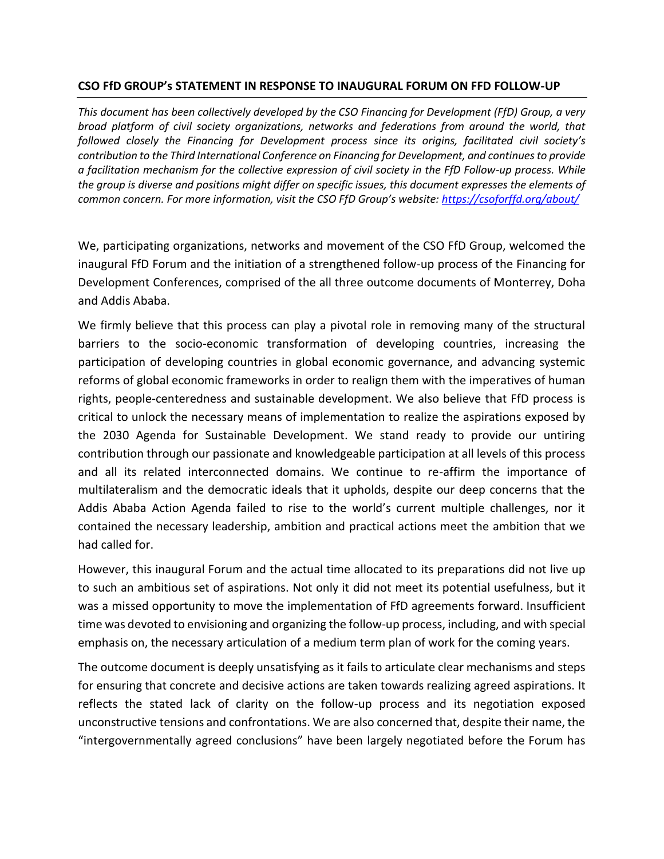## **CSO FfD GROUP's STATEMENT IN RESPONSE TO INAUGURAL FORUM ON FFD FOLLOW-UP**

*This document has been collectively developed by the CSO Financing for Development (FfD) Group, a very broad platform of civil society organizations, networks and federations from around the world, that followed closely the Financing for Development process since its origins, facilitated civil society's contribution to the Third International Conference on Financing for Development, and continues to provide a facilitation mechanism for the collective expression of civil society in the FfD Follow-up process. While the group is diverse and positions might differ on specific issues, this document expresses the elements of common concern. For more information, visit the CSO FfD Group's website: <https://csoforffd.org/about/>*

We, participating organizations, networks and movement of the CSO FfD Group, welcomed the inaugural FfD Forum and the initiation of a strengthened follow-up process of the Financing for Development Conferences, comprised of the all three outcome documents of Monterrey, Doha and Addis Ababa.

We firmly believe that this process can play a pivotal role in removing many of the structural barriers to the socio-economic transformation of developing countries, increasing the participation of developing countries in global economic governance, and advancing systemic reforms of global economic frameworks in order to realign them with the imperatives of human rights, people-centeredness and sustainable development. We also believe that FfD process is critical to unlock the necessary means of implementation to realize the aspirations exposed by the 2030 Agenda for Sustainable Development. We stand ready to provide our untiring contribution through our passionate and knowledgeable participation at all levels of this process and all its related interconnected domains. We continue to re-affirm the importance of multilateralism and the democratic ideals that it upholds, despite our deep concerns that the Addis Ababa Action Agenda failed to rise to the world's current multiple challenges, nor it contained the necessary leadership, ambition and practical actions meet the ambition that we had called for.

However, this inaugural Forum and the actual time allocated to its preparations did not live up to such an ambitious set of aspirations. Not only it did not meet its potential usefulness, but it was a missed opportunity to move the implementation of FfD agreements forward. Insufficient time was devoted to envisioning and organizing the follow-up process, including, and with special emphasis on, the necessary articulation of a medium term plan of work for the coming years.

The outcome document is deeply unsatisfying as it fails to articulate clear mechanisms and steps for ensuring that concrete and decisive actions are taken towards realizing agreed aspirations. It reflects the stated lack of clarity on the follow-up process and its negotiation exposed unconstructive tensions and confrontations. We are also concerned that, despite their name, the "intergovernmentally agreed conclusions" have been largely negotiated before the Forum has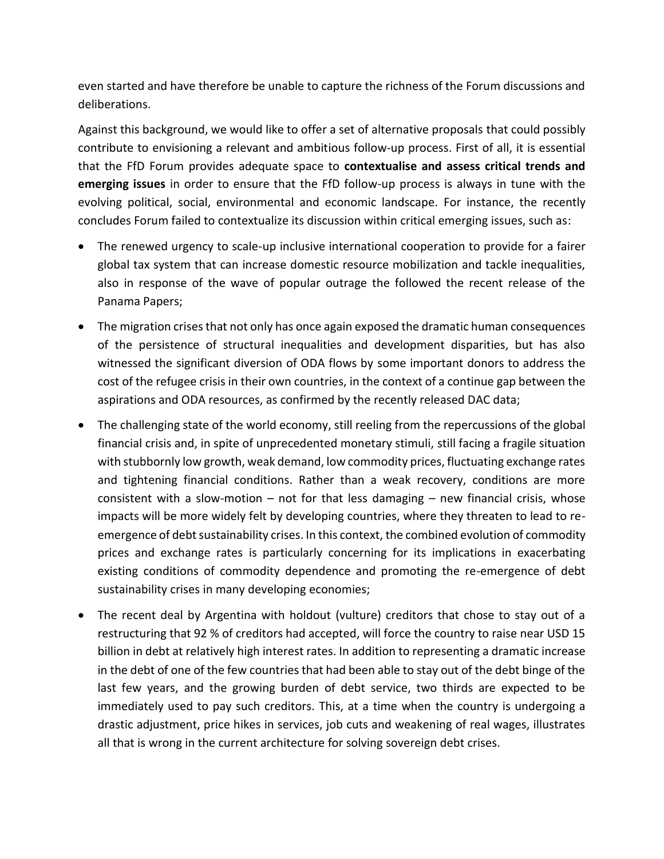even started and have therefore be unable to capture the richness of the Forum discussions and deliberations.

Against this background, we would like to offer a set of alternative proposals that could possibly contribute to envisioning a relevant and ambitious follow-up process. First of all, it is essential that the FfD Forum provides adequate space to **contextualise and assess critical trends and emerging issues** in order to ensure that the FfD follow-up process is always in tune with the evolving political, social, environmental and economic landscape. For instance, the recently concludes Forum failed to contextualize its discussion within critical emerging issues, such as:

- The renewed urgency to scale-up inclusive international cooperation to provide for a fairer global tax system that can increase domestic resource mobilization and tackle inequalities, also in response of the wave of popular outrage the followed the recent release of the Panama Papers;
- The migration crises that not only has once again exposed the dramatic human consequences of the persistence of structural inequalities and development disparities, but has also witnessed the significant diversion of ODA flows by some important donors to address the cost of the refugee crisis in their own countries, in the context of a continue gap between the aspirations and ODA resources, as confirmed by the recently released DAC data;
- The challenging state of the world economy, still reeling from the repercussions of the global financial crisis and, in spite of unprecedented monetary stimuli, still facing a fragile situation with stubbornly low growth, weak demand, low commodity prices, fluctuating exchange rates and tightening financial conditions. Rather than a weak recovery, conditions are more consistent with a slow-motion  $-$  not for that less damaging  $-$  new financial crisis, whose impacts will be more widely felt by developing countries, where they threaten to lead to reemergence of debt sustainability crises. In this context, the combined evolution of commodity prices and exchange rates is particularly concerning for its implications in exacerbating existing conditions of commodity dependence and promoting the re-emergence of debt sustainability crises in many developing economies;
- The recent deal by Argentina with holdout (vulture) creditors that chose to stay out of a restructuring that 92 % of creditors had accepted, will force the country to raise near USD 15 billion in debt at relatively high interest rates. In addition to representing a dramatic increase in the debt of one of the few countries that had been able to stay out of the debt binge of the last few years, and the growing burden of debt service, two thirds are expected to be immediately used to pay such creditors. This, at a time when the country is undergoing a drastic adjustment, price hikes in services, job cuts and weakening of real wages, illustrates all that is wrong in the current architecture for solving sovereign debt crises.